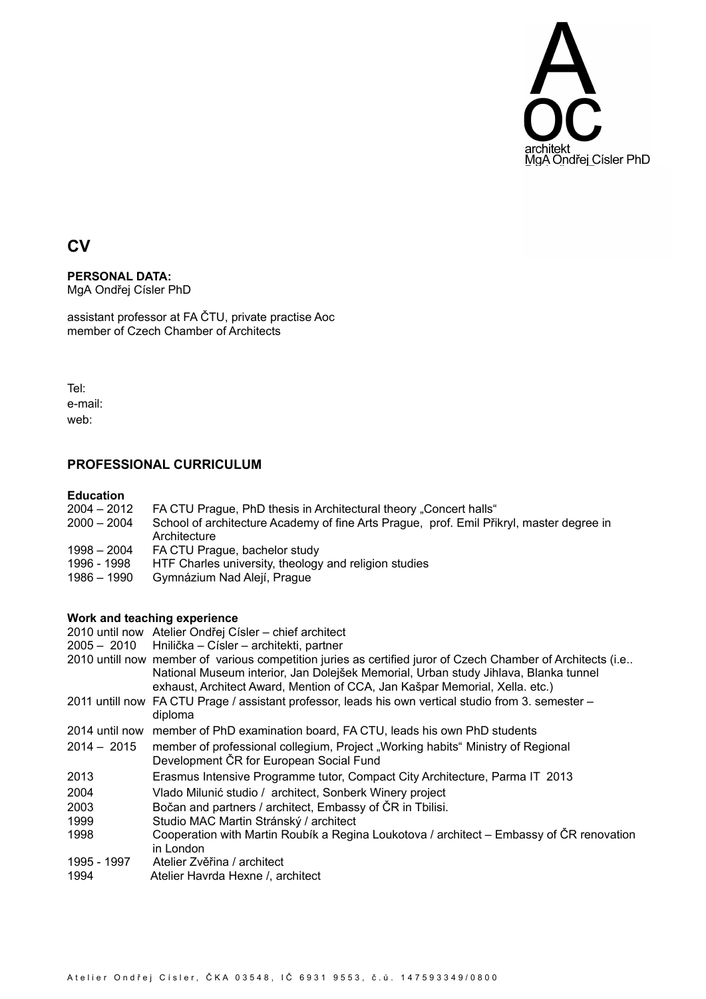

# **CV**

#### **PERSONAL DATA:** MgA Ondřej Císler PhD

assistant professor at FA ČTU, private practise Aoc member of Czech Chamber of Architects

Tel: e-mail: web:

## **PROFESSIONAL CURRICULUM**

#### **Education**

- 2004 2012 FA CTU Prague, PhD thesis in Architectural theory "Concert halls"
- 2000 2004 School of architecture Academy of fine Arts Prague, prof. Emil Přikryl, master degree in Architecture
- 1998 2004 FA CTU Prague, bachelor study
- 1996 1998 HTF Charles university, theology and religion studies<br>1986 1990 Gymnázium Nad Alejí, Prague
- Gymnázium Nad Alejí, Prague

### **Work and teaching experience**

|               | 2010 until now Atelier Ondřej Císler – chief architect                                                                                                                                                                                                                            |
|---------------|-----------------------------------------------------------------------------------------------------------------------------------------------------------------------------------------------------------------------------------------------------------------------------------|
|               | 2005 - 2010 Hnilička - Císler - architekti, partner                                                                                                                                                                                                                               |
|               | 2010 untill now member of various competition juries as certified juror of Czech Chamber of Architects (i.e<br>National Museum interior, Jan Dolejšek Memorial, Urban study Jihlava, Blanka tunnel<br>exhaust, Architect Award, Mention of CCA, Jan Kašpar Memorial, Xella. etc.) |
|               | 2011 untill now FA CTU Prage / assistant professor, leads his own vertical studio from 3. semester -<br>diploma                                                                                                                                                                   |
|               | 2014 until now member of PhD examination board, FA CTU, leads his own PhD students                                                                                                                                                                                                |
| $2014 - 2015$ | member of professional collegium, Project "Working habits" Ministry of Regional<br>Development ČR for European Social Fund                                                                                                                                                        |
| 2013          | Erasmus Intensive Programme tutor, Compact City Architecture, Parma IT 2013                                                                                                                                                                                                       |
| 2004          | Vlado Milunić studio / architect, Sonberk Winery project                                                                                                                                                                                                                          |
| 2003          | Bočan and partners / architect, Embassy of ČR in Tbilisi.                                                                                                                                                                                                                         |
| 1999          | Studio MAC Martin Stránský / architect                                                                                                                                                                                                                                            |
| 1998          | Cooperation with Martin Roubík a Regina Loukotova / architect – Embassy of ČR renovation<br>in London                                                                                                                                                                             |
| 1995 - 1997   | Atelier Zvěřina / architect                                                                                                                                                                                                                                                       |
| 1994          | Atelier Havrda Hexne /, architect                                                                                                                                                                                                                                                 |